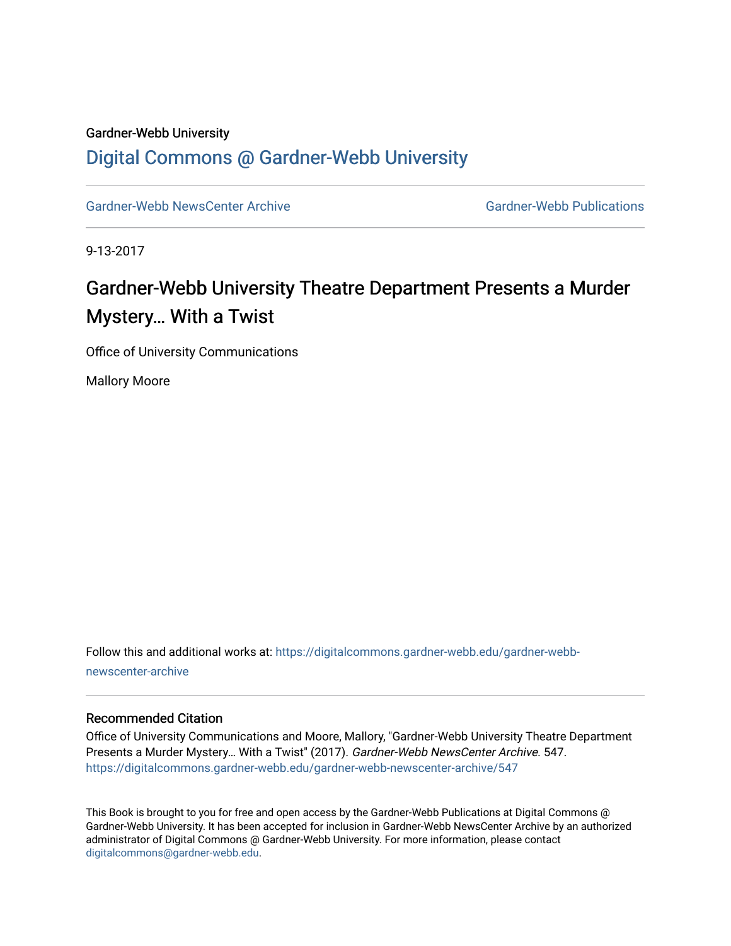#### Gardner-Webb University

## [Digital Commons @ Gardner-Webb University](https://digitalcommons.gardner-webb.edu/)

[Gardner-Webb NewsCenter Archive](https://digitalcommons.gardner-webb.edu/gardner-webb-newscenter-archive) Gardner-Webb Publications

9-13-2017

# Gardner-Webb University Theatre Department Presents a Murder Mystery… With a Twist

Office of University Communications

Mallory Moore

Follow this and additional works at: [https://digitalcommons.gardner-webb.edu/gardner-webb](https://digitalcommons.gardner-webb.edu/gardner-webb-newscenter-archive?utm_source=digitalcommons.gardner-webb.edu%2Fgardner-webb-newscenter-archive%2F547&utm_medium=PDF&utm_campaign=PDFCoverPages)[newscenter-archive](https://digitalcommons.gardner-webb.edu/gardner-webb-newscenter-archive?utm_source=digitalcommons.gardner-webb.edu%2Fgardner-webb-newscenter-archive%2F547&utm_medium=PDF&utm_campaign=PDFCoverPages)

#### Recommended Citation

Office of University Communications and Moore, Mallory, "Gardner-Webb University Theatre Department Presents a Murder Mystery… With a Twist" (2017). Gardner-Webb NewsCenter Archive. 547. [https://digitalcommons.gardner-webb.edu/gardner-webb-newscenter-archive/547](https://digitalcommons.gardner-webb.edu/gardner-webb-newscenter-archive/547?utm_source=digitalcommons.gardner-webb.edu%2Fgardner-webb-newscenter-archive%2F547&utm_medium=PDF&utm_campaign=PDFCoverPages)

This Book is brought to you for free and open access by the Gardner-Webb Publications at Digital Commons @ Gardner-Webb University. It has been accepted for inclusion in Gardner-Webb NewsCenter Archive by an authorized administrator of Digital Commons @ Gardner-Webb University. For more information, please contact [digitalcommons@gardner-webb.edu](mailto:digitalcommons@gardner-webb.edu).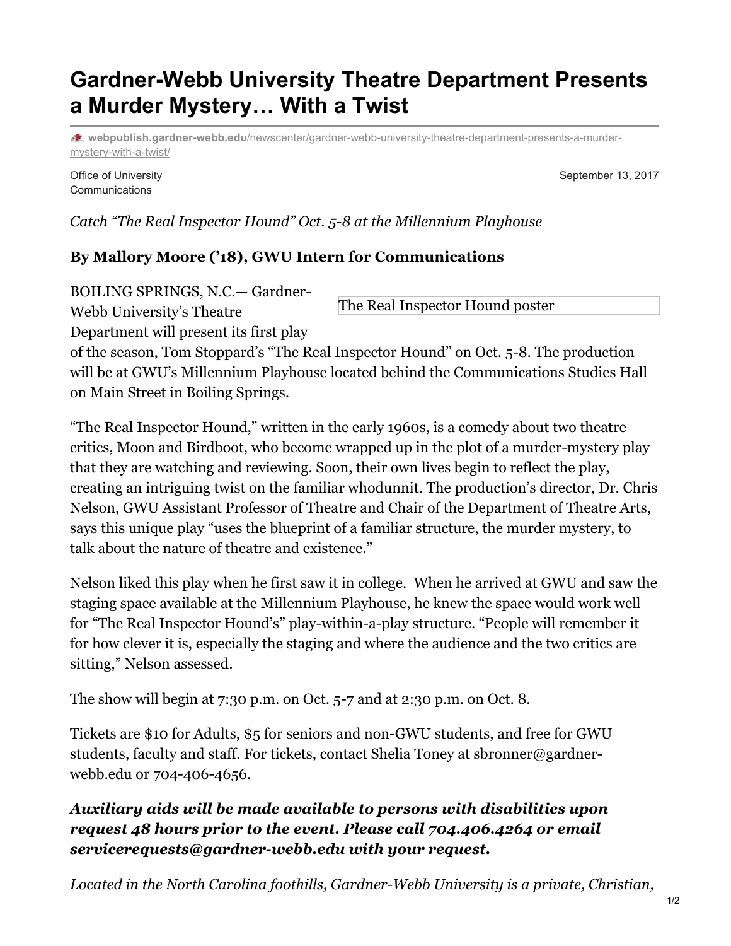# **Gardner-Webb University Theatre Department Presents a Murder Mystery… With a Twist**

**webpublish.gardner-webb.edu**[/newscenter/gardner-webb-university-theatre-department-presents-a-murder](https://webpublish.gardner-webb.edu/newscenter/gardner-webb-university-theatre-department-presents-a-murder-mystery-with-a-twist/)mystery-with-a-twist/

Office of University **Communications** 

September 13, 2017

*Catch "The Real Inspector Hound" Oct. 5-8 at the Millennium Playhouse*

### **By Mallory Moore ('18), GWU Intern for Communications**

BOILING SPRINGS, N.C.— Gardner-

The Real Inspector Hound poster

Webb University's Theatre

Department will present its first play

of the season, Tom Stoppard's "The Real Inspector Hound" on Oct. 5-8. The production will be at GWU's Millennium Playhouse located behind the Communications Studies Hall on Main Street in Boiling Springs.

"The Real Inspector Hound," written in the early 1960s, is a comedy about two theatre critics, Moon and Birdboot, who become wrapped up in the plot of a murder-mystery play that they are watching and reviewing. Soon, their own lives begin to reflect the play, creating an intriguing twist on the familiar whodunnit. The production's director, Dr. Chris Nelson, GWU Assistant Professor of Theatre and Chair of the Department of Theatre Arts, says this unique play "uses the blueprint of a familiar structure, the murder mystery, to talk about the nature of theatre and existence."

Nelson liked this play when he first saw it in college. When he arrived at GWU and saw the staging space available at the Millennium Playhouse, he knew the space would work well for "The Real Inspector Hound's" play-within-a-play structure. "People will remember it for how clever it is, especially the staging and where the audience and the two critics are sitting," Nelson assessed.

The show will begin at 7:30 p.m. on Oct. 5-7 and at 2:30 p.m. on Oct. 8.

Tickets are \$10 for Adults, \$5 for seniors and non-GWU students, and free for GWU students, faculty and staff. For tickets, contact Shelia Toney at sbronner@gardnerwebb.edu or 704-406-4656.

### *Auxiliary aids will be made available to persons with disabilities upon request 48 hours prior to the event. Please call 704.406.4264 or email servicerequests@gardner-webb.edu with your request.*

*Located in the North Carolina foothills, Gardner-Webb University is a private, Christian,*